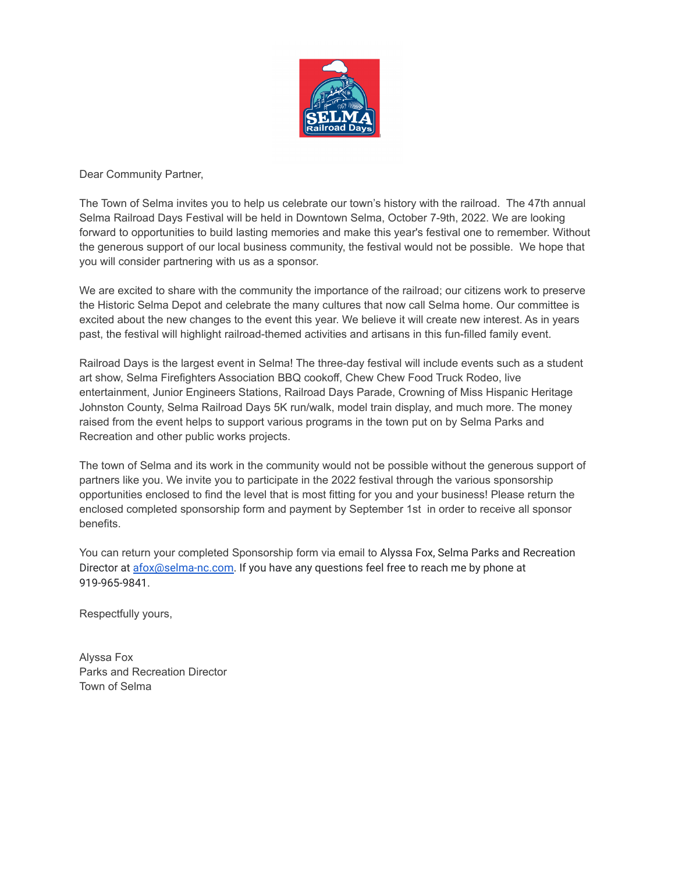

Dear Community Partner,

The Town of Selma invites you to help us celebrate our town's history with the railroad. The 47th annual Selma Railroad Days Festival will be held in Downtown Selma, October 7-9th, 2022. We are looking forward to opportunities to build lasting memories and make this year's festival one to remember. Without the generous support of our local business community, the festival would not be possible. We hope that you will consider partnering with us as a sponsor.

We are excited to share with the community the importance of the railroad; our citizens work to preserve the Historic Selma Depot and celebrate the many cultures that now call Selma home. Our committee is excited about the new changes to the event this year. We believe it will create new interest. As in years past, the festival will highlight railroad-themed activities and artisans in this fun-filled family event.

Railroad Days is the largest event in Selma! The three-day festival will include events such as a student art show, Selma Firefighters Association BBQ cookoff, Chew Chew Food Truck Rodeo, live entertainment, Junior Engineers Stations, Railroad Days Parade, Crowning of Miss Hispanic Heritage Johnston County, Selma Railroad Days 5K run/walk, model train display, and much more. The money raised from the event helps to support various programs in the town put on by Selma Parks and Recreation and other public works projects.

The town of Selma and its work in the community would not be possible without the generous support of partners like you. We invite you to participate in the 2022 festival through the various sponsorship opportunities enclosed to find the level that is most fitting for you and your business! Please return the enclosed completed sponsorship form and payment by September 1st in order to receive all sponsor benefits.

You can return your completed Sponsorship form via email to Alyssa Fox, Selma Parks and Recreation Director at [afox@selma-nc.com](mailto:afox@selma-nc.com). If you have any questions feel free to reach me by phone at 919-965-9841.

Respectfully yours,

Alyssa Fox Parks and Recreation Director Town of Selma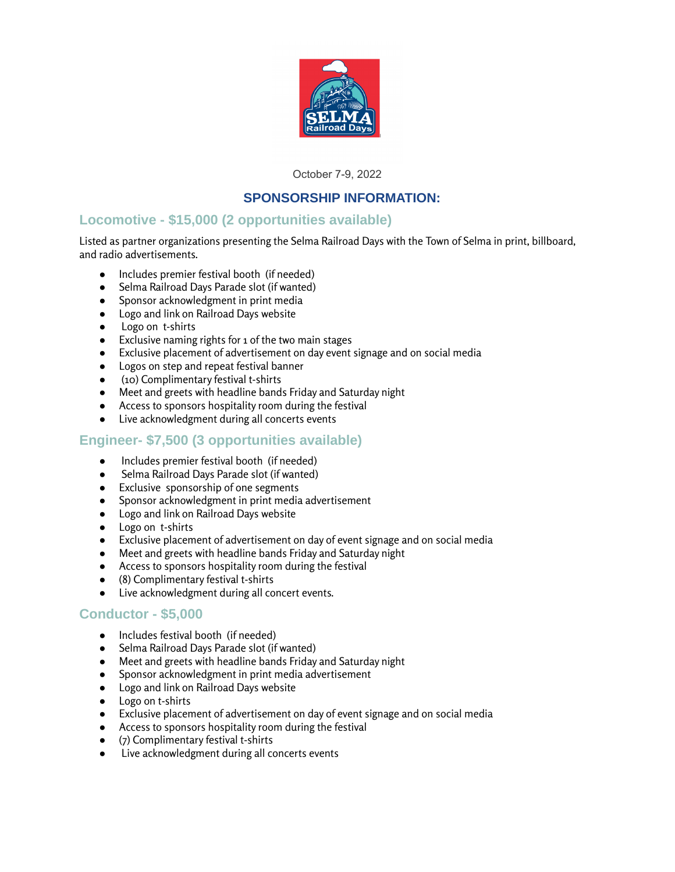

October 7-9, 2022

# **SPONSORSHIP INFORMATION:**

# **Locomotive - \$15,000 (2 opportunities available)**

Listed as partner organizations presenting the Selma Railroad Days with the Town of Selma in print, billboard, and radio advertisements.

- Includes premier festival booth (if needed)
- Selma Railroad Days Parade slot (if wanted)
- Sponsor acknowledgment in print media
- Logo and link on Railroad Days website
- Logo on t-shirts
- Exclusive naming rights for 1 of the two main stages
- Exclusive placement of advertisement on day event signage and on social media
- Logos on step and repeat festival banner
- (10) Complimentary festival t-shirts
- Meet and greets with headline bands Friday and Saturday night
- Access to sponsors hospitality room during the festival
- Live acknowledgment during all concerts events

# **Engineer- \$7,500 (3 opportunities available)**

- Includes premier festival booth (if needed)
- Selma Railroad Days Parade slot (if wanted)
- Exclusive sponsorship of one segments
- Sponsor acknowledgment in print media advertisement
- Logo and link on Railroad Days website
- Logo on t-shirts
- Exclusive placement of advertisement on day of event signage and on social media
- Meet and greets with headline bands Friday and Saturday night
- Access to sponsors hospitality room during the festival
- (8) Complimentary festival t-shirts
- Live acknowledgment during all concert events.

### **Conductor - \$5,000**

- Includes festival booth (if needed)
- Selma Railroad Days Parade slot (if wanted)
- Meet and greets with headline bands Friday and Saturday night
- Sponsor acknowledgment in print media advertisement
- Logo and link on Railroad Days website
- Logo on t-shirts
- Exclusive placement of advertisement on day of event signage and on social media
- Access to sponsors hospitality room during the festival
- (7) Complimentary festival t-shirts
- Live acknowledgment during all concerts events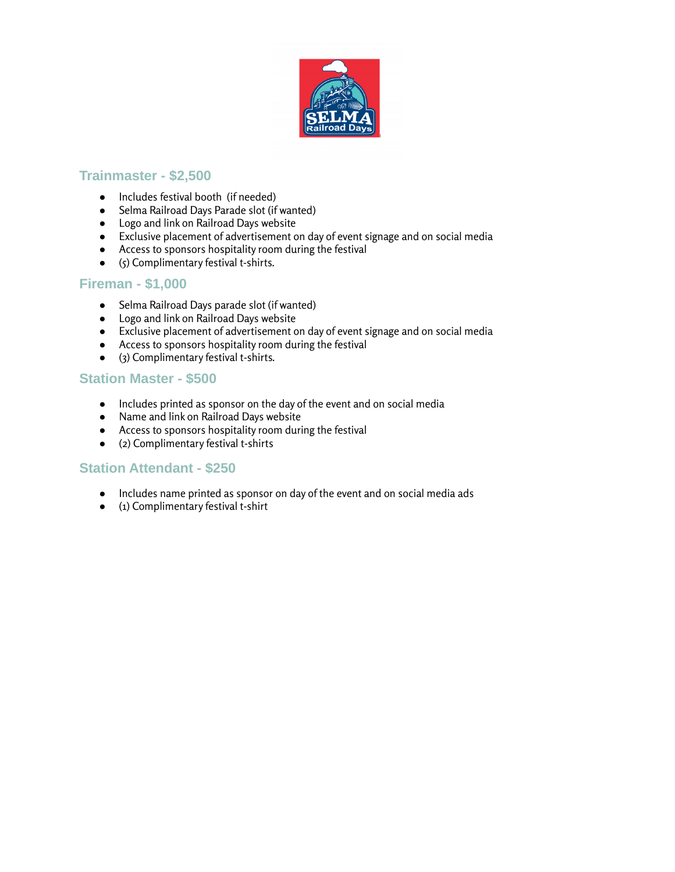

## **Trainmaster - \$2,500**

- Includes festival booth (if needed)
- Selma Railroad Days Parade slot (if wanted)
- Logo and link on Railroad Days website
- Exclusive placement of advertisement on day of event signage and on social media
- Access to sponsors hospitality room during the festival
- $\bullet$  (5) Complimentary festival t-shirts.

#### **Fireman - \$1,000**

- Selma Railroad Days parade slot (if wanted)
- Logo and link on Railroad Days website
- Exclusive placement of advertisement on day of event signage and on social media
- Access to sponsors hospitality room during the festival
- (3) Complimentary festival t-shirts.

### **Station Master - \$500**

- Includes printed as sponsor on the day of the event and on social media
- Name and link on Railroad Days website
- Access to sponsors hospitality room during the festival
- (2) Complimentary festival t-shirts

### **Station Attendant - \$250**

- Includes name printed as sponsor on day of the event and on social media ads
- (1) Complimentary festival t-shirt